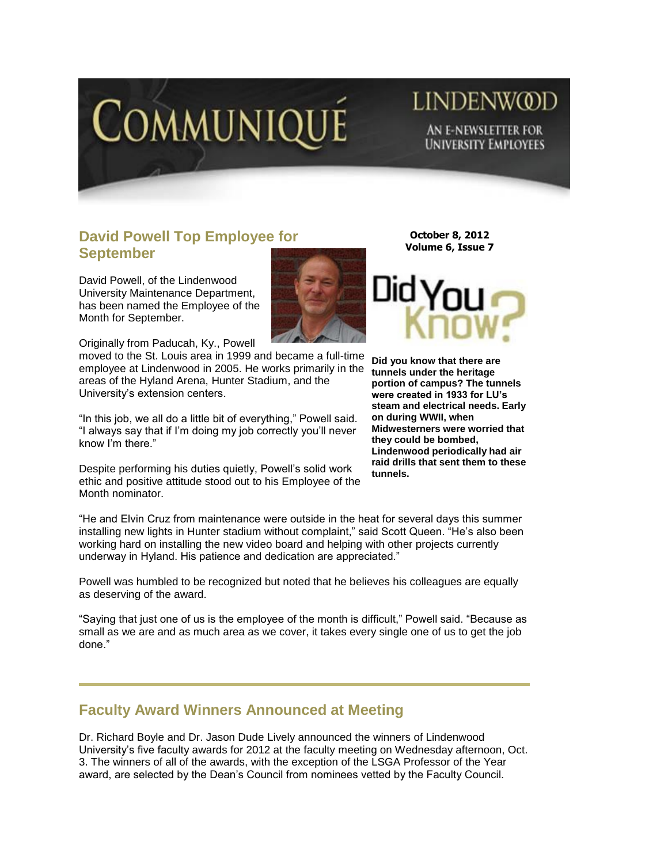

# LINDENW@D AN E-NEWSLETTER FOR **UNIVERSITY EMPLOYEES**

### **David Powell Top Employee for September**

David Powell, of the Lindenwood University Maintenance Department, has been named the Employee of the Month for September.

Originally from Paducah, Ky., Powell

moved to the St. Louis area in 1999 and became a full-time employee at Lindenwood in 2005. He works primarily in the areas of the Hyland Arena, Hunter Stadium, and the University's extension centers.

"In this job, we all do a little bit of everything," Powell said. "I always say that if I'm doing my job correctly you'll never know I'm there."

Despite performing his duties quietly, Powell's solid work ethic and positive attitude stood out to his Employee of the Month nominator.

**October 8, 2012 Volume 6, Issue 7**



**Did you know that there are tunnels under the heritage portion of campus? The tunnels were created in 1933 for LU's steam and electrical needs. Early on during WWII, when Midwesterners were worried that they could be bombed, Lindenwood periodically had air raid drills that sent them to these tunnels.**

"He and Elvin Cruz from maintenance were outside in the heat for several days this summer installing new lights in Hunter stadium without complaint," said Scott Queen. "He's also been working hard on installing the new video board and helping with other projects currently underway in Hyland. His patience and dedication are appreciated."

Powell was humbled to be recognized but noted that he believes his colleagues are equally as deserving of the award.

"Saying that just one of us is the employee of the month is difficult," Powell said. "Because as small as we are and as much area as we cover, it takes every single one of us to get the job done."

#### **Faculty Award Winners Announced at Meeting**

Dr. Richard Boyle and Dr. Jason Dude Lively announced the winners of Lindenwood University's five faculty awards for 2012 at the faculty meeting on Wednesday afternoon, Oct. 3. The winners of all of the awards, with the exception of the LSGA Professor of the Year award, are selected by the Dean's Council from nominees vetted by the Faculty Council.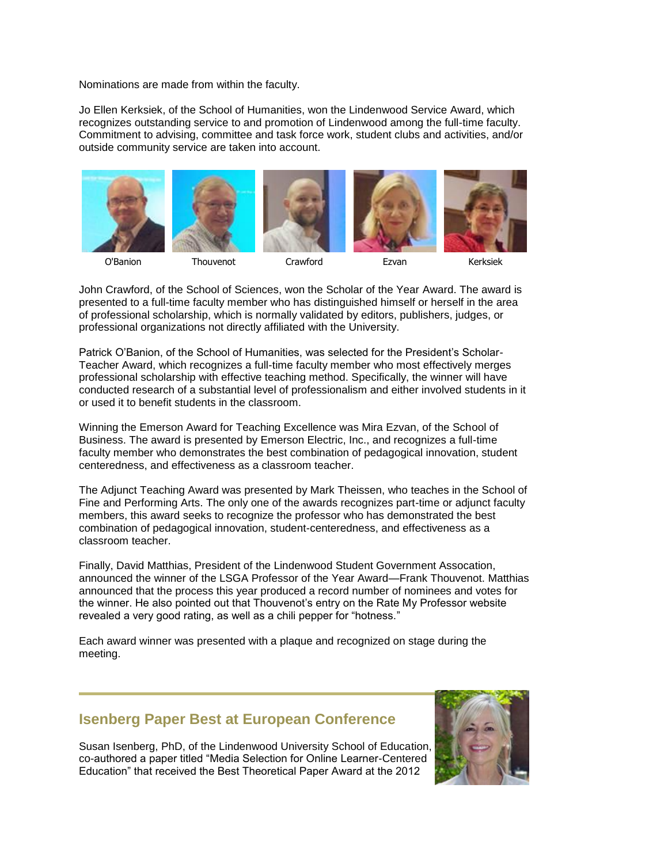Nominations are made from within the faculty.

Jo Ellen Kerksiek, of the School of Humanities, won the Lindenwood Service Award, which recognizes outstanding service to and promotion of Lindenwood among the full-time faculty. Commitment to advising, committee and task force work, student clubs and activities, and/or outside community service are taken into account.



O'Banion Thouvenot Crawford Ezvan Kerksiek



John Crawford, of the School of Sciences, won the Scholar of the Year Award. The award is presented to a full-time faculty member who has distinguished himself or herself in the area of professional scholarship, which is normally validated by editors, publishers, judges, or professional organizations not directly affiliated with the University.

Patrick O'Banion, of the School of Humanities, was selected for the President's Scholar-Teacher Award, which recognizes a full-time faculty member who most effectively merges professional scholarship with effective teaching method. Specifically, the winner will have conducted research of a substantial level of professionalism and either involved students in it or used it to benefit students in the classroom.

Winning the Emerson Award for Teaching Excellence was Mira Ezvan, of the School of Business. The award is presented by Emerson Electric, Inc., and recognizes a full-time faculty member who demonstrates the best combination of pedagogical innovation, student centeredness, and effectiveness as a classroom teacher.

The Adjunct Teaching Award was presented by Mark Theissen, who teaches in the School of Fine and Performing Arts. The only one of the awards recognizes part-time or adjunct faculty members, this award seeks to recognize the professor who has demonstrated the best combination of pedagogical innovation, student-centeredness, and effectiveness as a classroom teacher.

Finally, David Matthias, President of the Lindenwood Student Government Assocation, announced the winner of the LSGA Professor of the Year Award—Frank Thouvenot. Matthias announced that the process this year produced a record number of nominees and votes for the winner. He also pointed out that Thouvenot's entry on the Rate My Professor website revealed a very good rating, as well as a chili pepper for "hotness."

Each award winner was presented with a plaque and recognized on stage during the meeting.

#### **Isenberg Paper Best at European Conference**

Susan Isenberg, PhD, of the Lindenwood University School of Education, co-authored a paper titled "Media Selection for Online Learner-Centered Education" that received the Best Theoretical Paper Award at the 2012